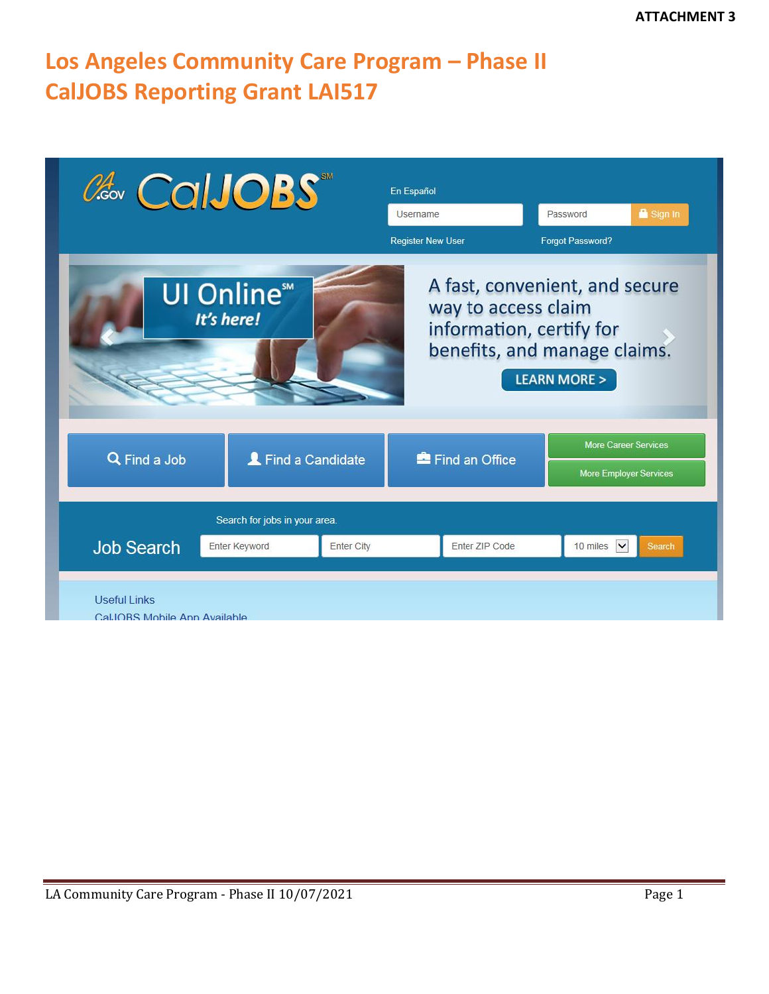# **Los Angeles Community Care Program – Phase II CalJOBS Reporting Grant LAI517**

| ColJOBS                                                                                                                                                                                    | En Español<br>Password<br>Username<br><b>Register New User</b><br>Forgot Password? | Sign In                                                      |  |  |  |
|--------------------------------------------------------------------------------------------------------------------------------------------------------------------------------------------|------------------------------------------------------------------------------------|--------------------------------------------------------------|--|--|--|
| A fast, convenient, and secure<br><b>UI Online</b> <sup>™</sup><br>way to access claim<br>It's here!<br>information, certify for<br>benefits, and manage claims.<br><b>LEARN MORE &gt;</b> |                                                                                    |                                                              |  |  |  |
| Q Find a Job<br>Find a Candidate                                                                                                                                                           | Find an Office                                                                     | <b>More Career Services</b><br><b>More Employer Services</b> |  |  |  |
| Search for jobs in your area.<br><b>Job Search</b><br>Enter Keyword<br><b>Enter City</b>                                                                                                   | Enter ZIP Code<br>10 miles                                                         | $\vee$<br>Search                                             |  |  |  |
| <b>Useful Links</b><br>Cal IOBS Mobile App Available                                                                                                                                       |                                                                                    |                                                              |  |  |  |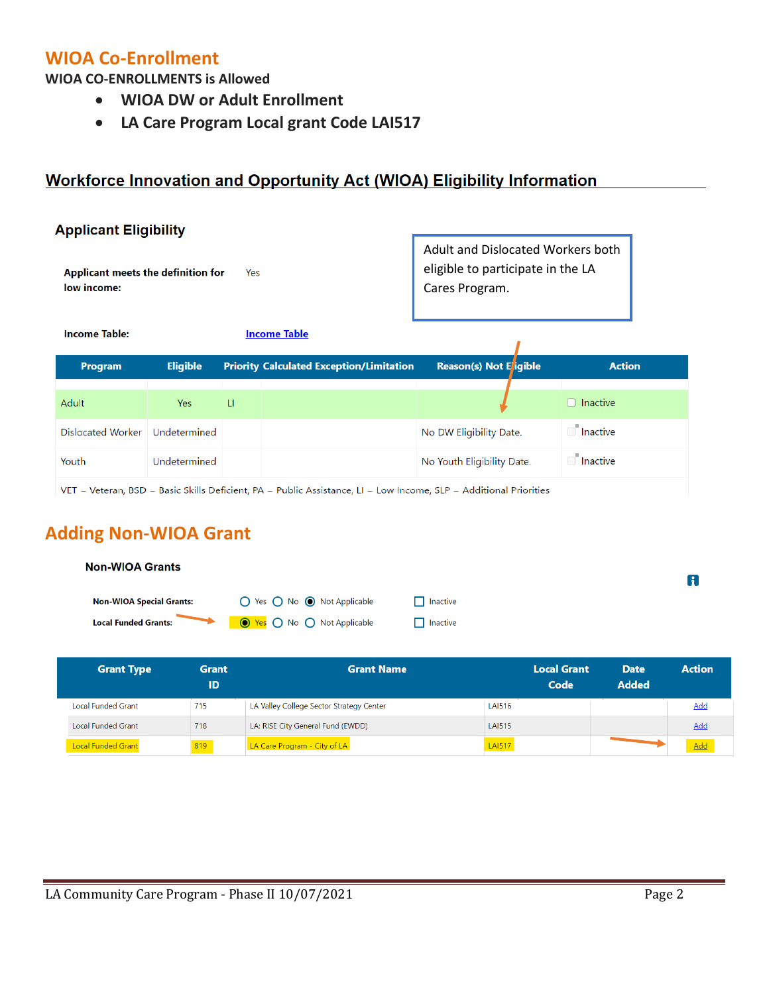## **WIOA Co-Enrollment**

**WIOA CO-ENROLLMENTS is Allowed**

- **WIOA DW or Adult Enrollment**
- **LA Care Program Local grant Code LAI517**

## **Workforce Innovation and Opportunity Act (WIOA) Eligibility Information**

| <b>Applicant Eligibility</b>                                                                                         |                 |     |                                                                                          |                               |                 |
|----------------------------------------------------------------------------------------------------------------------|-----------------|-----|------------------------------------------------------------------------------------------|-------------------------------|-----------------|
| Applicant meets the definition for<br>low income:                                                                    |                 | Yes | Adult and Dislocated Workers both<br>eligible to participate in the LA<br>Cares Program. |                               |                 |
| <b>Income Table:</b>                                                                                                 |                 |     | <b>Income Table</b>                                                                      |                               |                 |
| Program                                                                                                              | <b>Eligible</b> |     | <b>Priority Calculated Exception/Limitation</b>                                          | <b>Reason(s) Not E</b> igible | <b>Action</b>   |
| Adult                                                                                                                | <b>Yes</b>      | -LI |                                                                                          |                               | $\Box$ Inactive |
| Dislocated Worker                                                                                                    | Undetermined    |     |                                                                                          | No DW Eligibility Date.       | Inactive        |
| Youth                                                                                                                | Undetermined    |     |                                                                                          | No Youth Eligibility Date.    | <b>nactive</b>  |
| $VET = Veteran$ , BSD = Basic Skills Deficient, PA = Public Assistance, LI = Low Income, SLP = Additional Priorities |                 |     |                                                                                          |                               |                 |

# **Adding Non-WIOA Grant**

| <b>Non-WIOA Grants</b>          |                                    |                 | Ħ |
|---------------------------------|------------------------------------|-----------------|---|
| <b>Non-WIOA Special Grants:</b> | ◯ Yes ◯ No ◉ Not Applicable        | $\Box$ Inactive |   |
| <b>Local Funded Grants:</b>     | <b>O</b> Yes O No O Not Applicable | $\Box$ Inactive |   |
|                                 |                                    |                 |   |

| <b>Grant Type</b>         | <b>Grant</b><br>ID | <b>Grant Name</b>                        |               | <b>Local Grant</b><br>Code | <b>Date</b><br><b>Added</b> | <b>Action</b> |
|---------------------------|--------------------|------------------------------------------|---------------|----------------------------|-----------------------------|---------------|
| Local Funded Grant        | 715                | LA Valley College Sector Strategy Center | <b>LAI516</b> |                            |                             | Add           |
| Local Funded Grant        | 718                | LA: RISE City General Fund (EWDD)        | <b>LAI515</b> |                            |                             | Add           |
| <b>Local Funded Grant</b> | 819                | LA Care Program - City of LA             | <b>LAI517</b> |                            |                             | Add           |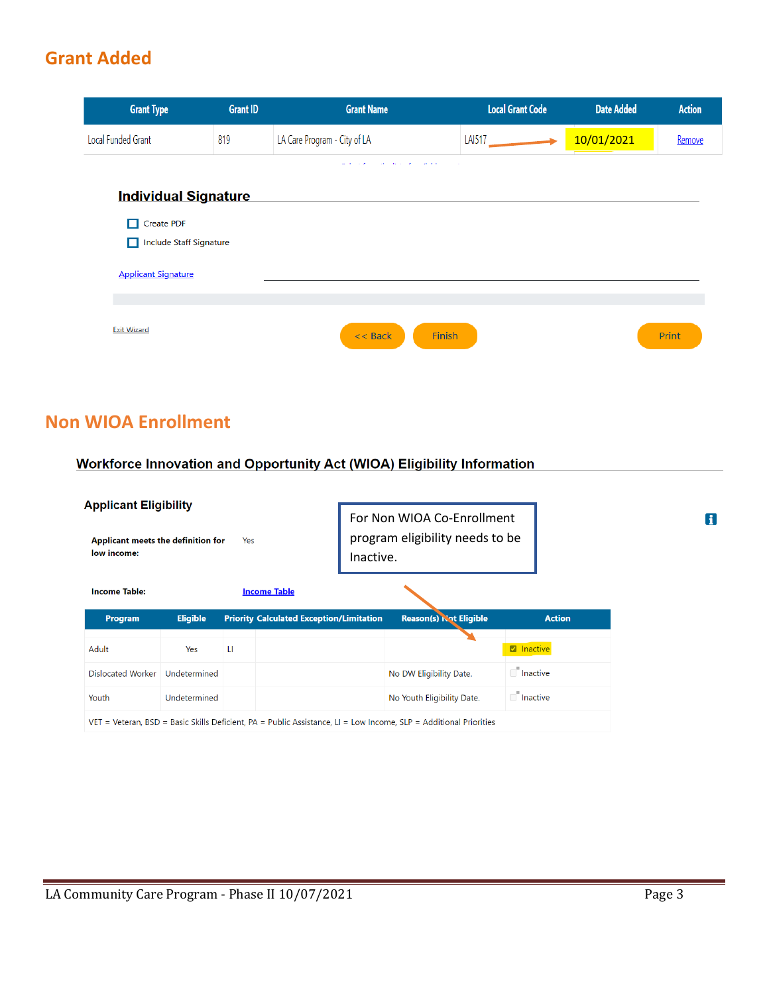# **Grant Added**

| <b>Grant Type</b>            | <b>Grant ID</b> | <b>Grant Name</b>                                    | <b>Local Grant Code</b> | <b>Date Added</b> | <b>Action</b> |
|------------------------------|-----------------|------------------------------------------------------|-------------------------|-------------------|---------------|
| Local Funded Grant           | 819             | LA Care Program - City of LA                         | <b>LAI517</b>           | 10/01/2021        | Remove        |
|                              |                 | with a wind of the control of the con-<br>$\sim 100$ |                         |                   |               |
| <b>Individual Signature</b>  |                 |                                                      |                         |                   |               |
| <b>Create PDF</b><br>П       |                 |                                                      |                         |                   |               |
| Include Staff Signature<br>П |                 |                                                      |                         |                   |               |
| <b>Applicant Signature</b>   |                 |                                                      |                         |                   |               |
|                              |                 |                                                      |                         |                   |               |
| <b>Exit Wizard</b>           |                 | Finish<br>$<<$ Back                                  |                         |                   | Print         |

## **Non WIOA Enrollment**

### Workforce Innovation and Opportunity Act (WIOA) Eligibility Information

| <b>Applicant Eligibility</b><br>Applicant meets the definition for<br>Yes<br>low income:                          |                 |   |                                                 |  | For Non WIOA Co-Enrollment<br>program eligibility needs to be<br>Inactive. |                               |                   |               |
|-------------------------------------------------------------------------------------------------------------------|-----------------|---|-------------------------------------------------|--|----------------------------------------------------------------------------|-------------------------------|-------------------|---------------|
| <b>Income Table:</b>                                                                                              |                 |   | <b>Income Table</b>                             |  |                                                                            |                               |                   |               |
| Program                                                                                                           | <b>Eligible</b> |   | <b>Priority Calculated Exception/Limitation</b> |  |                                                                            | <b>Reason(s) Not Eligible</b> |                   | <b>Action</b> |
| Adult                                                                                                             | Yes             | u |                                                 |  |                                                                            |                               | <b>Z</b> Inactive |               |
| Dislocated Worker                                                                                                 | Undetermined    |   |                                                 |  |                                                                            | No DW Eligibility Date.       | $\Box$ Inactive   |               |
| Youth                                                                                                             | Undetermined    |   |                                                 |  |                                                                            | No Youth Eligibility Date.    | $\Box$ Inactive   |               |
| VET = Veteran, BSD = Basic Skills Deficient, PA = Public Assistance, LI = Low Income, SLP = Additional Priorities |                 |   |                                                 |  |                                                                            |                               |                   |               |

 $\mathbf{f}$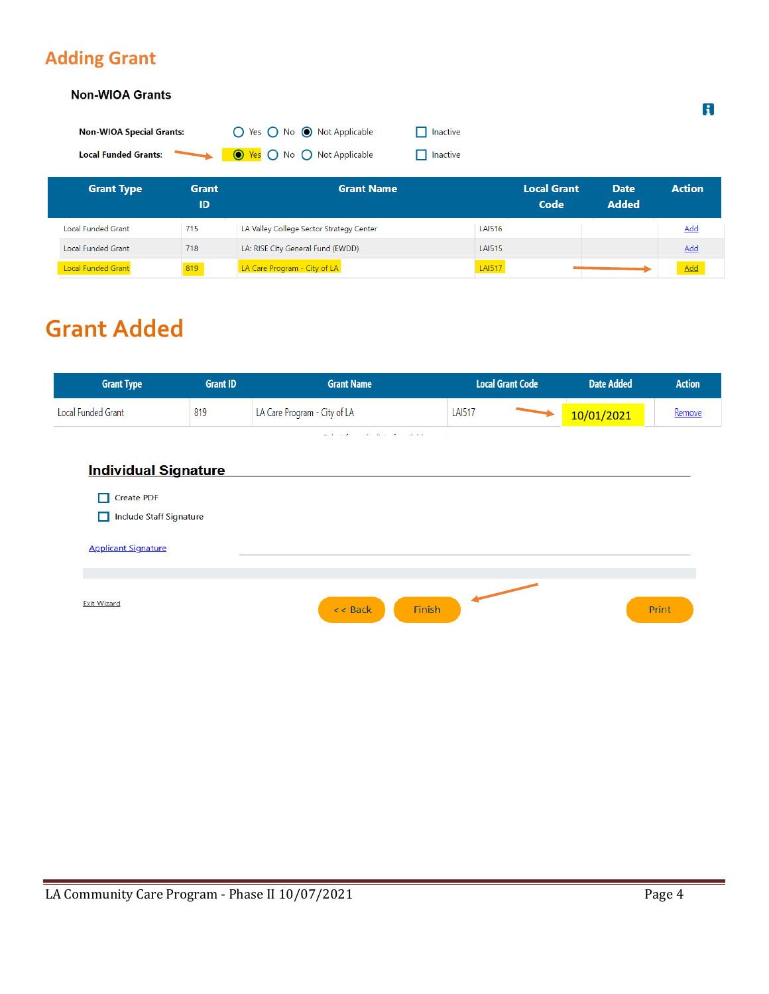# **Adding Grant**

#### **Non-WIOA Grants**

| <b>Non-WIOA Special Grants:</b> | ◯ Yes ◯ No ◯ Not Applicable        | <b>N</b> Inactive |
|---------------------------------|------------------------------------|-------------------|
| <b>Local Funded Grants:</b>     | <b>O</b> Yes ∩ No ∩ Not Applicable | $\Box$ Inactive   |

| <b>Grant Type</b>         | <b>Grant</b><br>ID | <b>Grant Name</b>                        |               | <b>Local Grant</b><br>Code | <b>Date</b><br><b>Added</b> | <b>Action</b> |
|---------------------------|--------------------|------------------------------------------|---------------|----------------------------|-----------------------------|---------------|
| Local Funded Grant        | 715                | LA Valley College Sector Strategy Center | <b>LAI516</b> |                            |                             | <u>Add</u>    |
| Local Funded Grant        | 718                | LA: RISE City General Fund (EWDD)        | <b>LAI515</b> |                            |                             | Add           |
| <b>Local Funded Grant</b> | 819                | LA Care Program - City of LA             | <b>LAI517</b> |                            |                             | Add           |

# **Grant Added**

| <b>Grant Type</b>            | <b>Grant ID</b> | <b>Grant Name</b>                                                 | <b>Local Grant Code</b> | <b>Date Added</b> | <b>Action</b> |
|------------------------------|-----------------|-------------------------------------------------------------------|-------------------------|-------------------|---------------|
| Local Funded Grant           | 819             | LA Care Program - City of LA                                      | <b>LAI517</b>           | 10/01/2021        | Remove        |
|                              |                 | with a window and the contract of the main the<br><b>Contract</b> |                         |                   |               |
| <b>Individual Signature</b>  |                 |                                                                   |                         |                   |               |
| Create PDF<br>П              |                 |                                                                   |                         |                   |               |
| Include Staff Signature<br>П |                 |                                                                   |                         |                   |               |
| <b>Applicant Signature</b>   |                 |                                                                   |                         |                   |               |
|                              |                 |                                                                   |                         |                   |               |
| <b>Exit Wizard</b>           |                 | Finish<br>$<<$ Back                                               |                         |                   | Print         |
|                              |                 |                                                                   |                         |                   |               |
|                              |                 |                                                                   |                         |                   |               |

 $\mathbf{f}$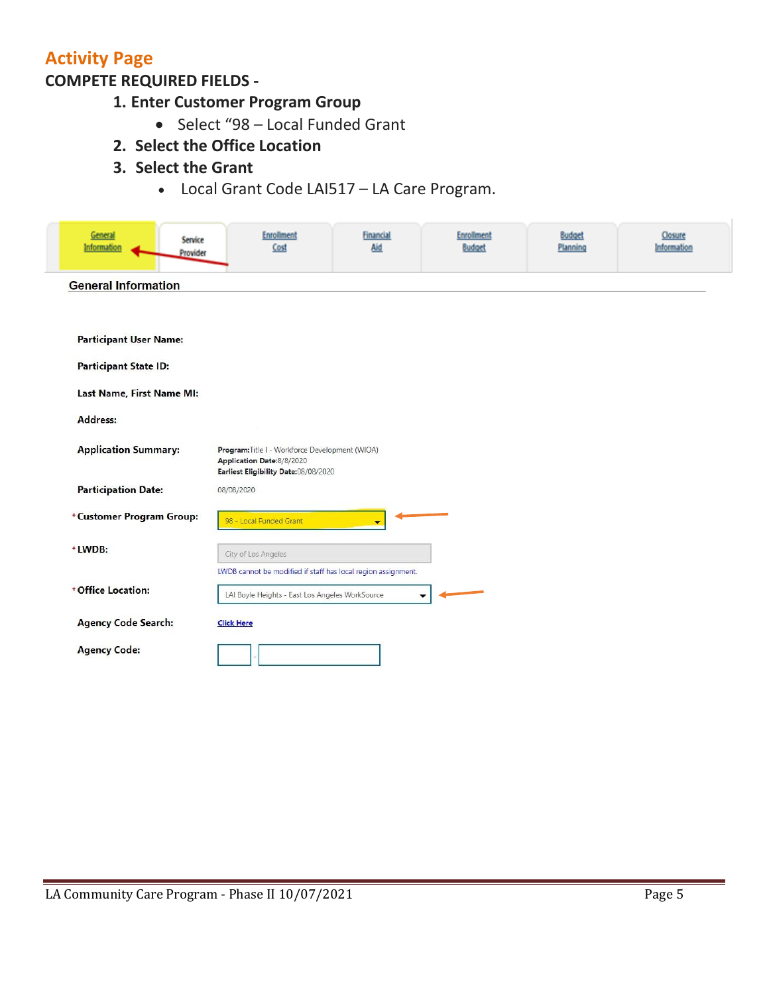# **Activity Page**

## **COMPETE REQUIRED FIELDS -**

- **1. Enter Customer Program Group**
	- Select "98 Local Funded Grant
- **2. Select the Office Location**
- **3. Select the Grant**
	- Local Grant Code LAI517 LA Care Program.

| General<br>Service<br>Information<br>Provider | <b>Enrollment</b><br>Cost                                                                                            | <b>Financial</b><br>Aid | <b>Enrollment</b><br><b>Budget</b> | <b>Budget</b><br>Planning | Closure<br>Information |
|-----------------------------------------------|----------------------------------------------------------------------------------------------------------------------|-------------------------|------------------------------------|---------------------------|------------------------|
| <b>General Information</b>                    |                                                                                                                      |                         |                                    |                           |                        |
|                                               |                                                                                                                      |                         |                                    |                           |                        |
| <b>Participant User Name:</b>                 |                                                                                                                      |                         |                                    |                           |                        |
| <b>Participant State ID:</b>                  |                                                                                                                      |                         |                                    |                           |                        |
| Last Name, First Name MI:                     |                                                                                                                      |                         |                                    |                           |                        |
| Address:                                      |                                                                                                                      |                         |                                    |                           |                        |
| <b>Application Summary:</b>                   | Program: Title I - Workforce Development (WIOA)<br>Application Date:8/8/2020<br>Earliest Eligibility Date:08/08/2020 |                         |                                    |                           |                        |
| <b>Participation Date:</b>                    | 08/08/2020                                                                                                           |                         |                                    |                           |                        |
| *Customer Program Group:                      | 98 - Local Funded Grant                                                                                              | ▼                       |                                    |                           |                        |
| * LWDB:                                       | City of Los Angeles                                                                                                  |                         |                                    |                           |                        |
|                                               | LWDB cannot be modified if staff has local region assignment.                                                        |                         |                                    |                           |                        |
| * Office Location:                            | LAI Boyle Heights - East Los Angeles WorkSource                                                                      |                         |                                    |                           |                        |
| <b>Agency Code Search:</b>                    | <b>Click Here</b>                                                                                                    |                         |                                    |                           |                        |
| <b>Agency Code:</b>                           |                                                                                                                      |                         |                                    |                           |                        |